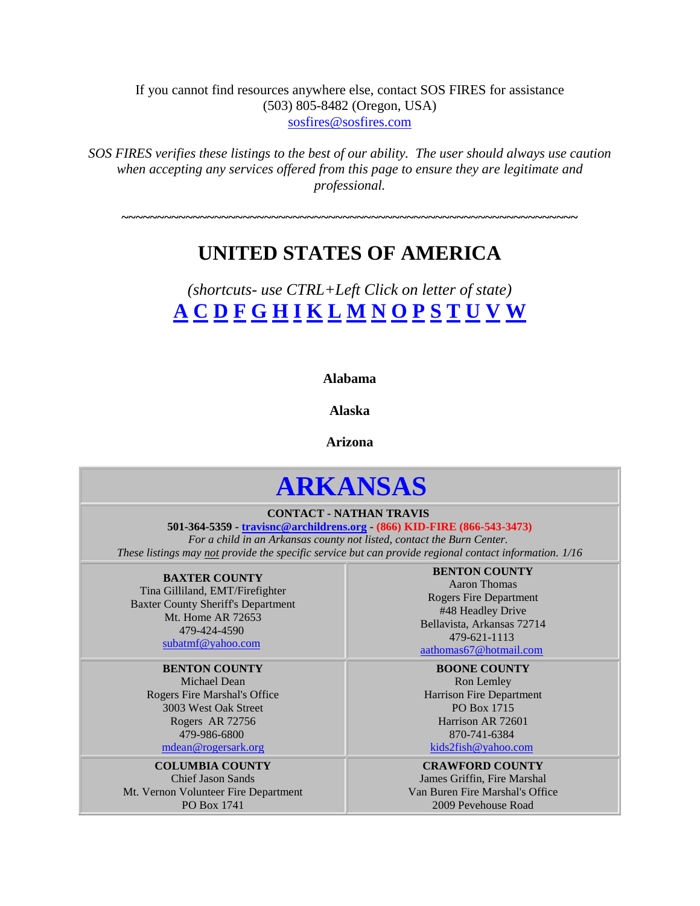If you cannot find resources anywhere else, contact SOS FIRES for assistance (503) 805-8482 (Oregon, USA) [sosfires@sosfires.com](mailto:sosfires@sosfires.com)

*SOS FIRES verifies these listings to the best of our ability. The user should always use caution when accepting any services offered from this page to ensure they are legitimate and professional.* 

## **UNITED STATES OF AMERICA**

**~~~~~~~~~~~~~~~~~~~~~~~~~~~~~~~~~~~~~~~~~~~~~~~~~~~~~~~~~~~~~~~~**

<span id="page-0-0"></span>*(shortcuts- use CTRL+Left Click on letter of state)* **[A](#page-0-0) [C](#page-1-0) D [F](#page-3-0) [G](#page-3-1) [H](#page-3-2) [I](#page-3-3) [K](#page-4-0) [L](#page-4-1) [M](#page-4-2) [N](#page-10-0) O [P](#page-15-0) [S](#page-16-0) T U [V](#page-16-1) W**

**Alabama**

**Alaska**

**Arizona**

# **ARKANSAS**

**CONTACT - NATHAN TRAVIS**

**501-364-5359 - [travisnc@archildrens.org](mailto:parksjc@archildrens.org) - (866) KID-FIRE (866-543-3473)**  *For a child in an Arkansas county not listed, contact the Burn Center. These listings may not provide the specific service but can provide regional contact information. 1/16*

**BAXTER COUNTY** Tina Gilliland, EMT/Firefighter

Baxter County Sheriff's Department Mt. Home AR 72653 479-424-4590 [subatmf@yahoo.com](mailto:subatmf@yahoo.com)

**BENTON COUNTY** Michael Dean Rogers Fire Marshal's Office 3003 West Oak Street Rogers AR 72756 479-986-6800

[mdean@rogersark.org](mailto:mdean@rogersark.org)

**COLUMBIA COUNTY** Chief Jason Sands Mt. Vernon Volunteer Fire Department PO Box 1741

**BENTON COUNTY** Aaron Thomas Rogers Fire Department #48 Headley Drive Bellavista, Arkansas 72714 479-621-1113 [aathomas67@hotmail.com](mailto:aathomas67@hotmail.com)

**BOONE COUNTY** Ron Lemley Harrison Fire Department PO Box 1715 Harrison AR 72601 870-741-6384

[kids2fish@yahoo.com](mailto:kids2fish@yahoo.com)

**CRAWFORD COUNTY** James Griffin, Fire Marshal Van Buren Fire Marshal's Office 2009 Pevehouse Road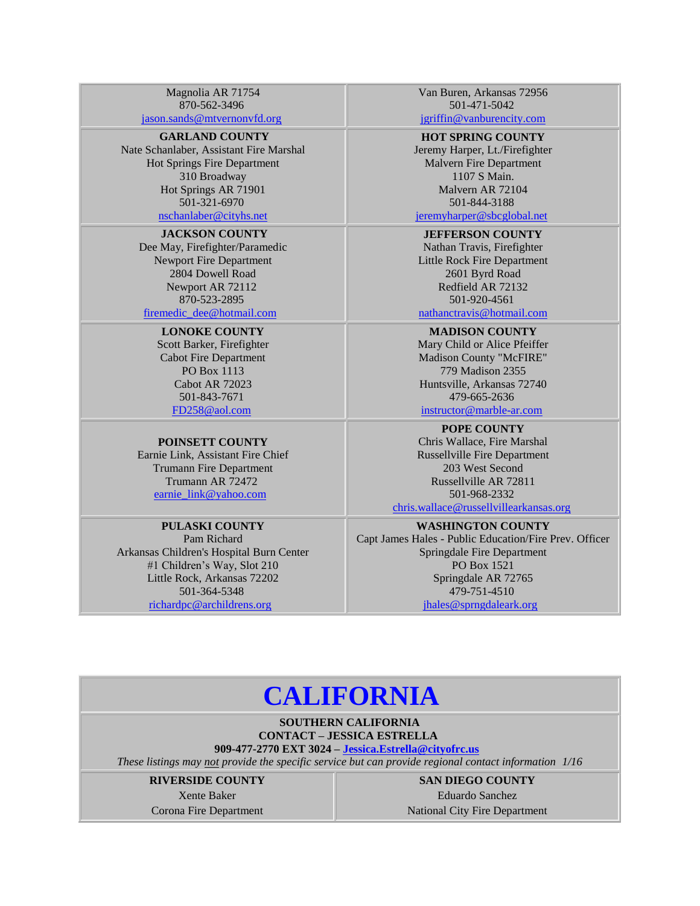Magnolia AR 71754 870-562-3496 [jason.sands@mtvernonvfd.org](mailto:jason.sands@mtvernonvfd.org)

## **GARLAND COUNTY**

Nate Schanlaber, Assistant Fire Marshal Hot Springs Fire Department 310 Broadway Hot Springs AR 71901 501-321-6970 [nschanlaber@cityhs.net](mailto:nschanlaber@cityhs.net)

#### **JACKSON COUNTY**

Dee May, Firefighter/Paramedic Newport Fire Department 2804 Dowell Road Newport AR 72[112](mailto:firemedic_dee@hotmail.com) 870-523-2895

[firemedic\\_dee@hotmail.com](mailto:firemedic_dee@hotmail.com) 

## **LONOKE COUNTY**

Scott Barker, Firefighter Cabot Fire Department PO Box 1113 Cabot AR 72023 501-843-7671

[FD258@aol.com](mailto:FD258@aol.com)

### **POINSETT COUNTY**

Earnie Link, Assistant Fire Chief Trumann Fire Department Trumann AR 72472 [earnie\\_link@yahoo.com](mailto:earnie_link@yahoo.com) 

#### **PULASKI COUNTY**

Pam Richard Arkansas Children's Hospital Burn Center #1 Children's Way, Slot 210 Little Rock, Arkansas 72202 501-364-5348 [richardpc@archildrens.org](mailto:richardpc@archildrens.org) 

Van Buren, Arkansas 72956 501-471-5042

[jgriffin@vanburencity.com](mailto:jgriffin@vanburencity.com)

**HOT SPRING COUNTY** Jeremy Harper, Lt./Firefighter Malvern Fire Department 1107 S Main. Malvern AR 72104 501-844-3188

## [jeremyharper@sbcglobal.net](mailto:jeremyharper@sbcglobal.net)

**JEFFERSON COUNTY** Nathan Travis, Firefighter Little Rock Fire Department 2601 Byrd Road Redfield AR 72[132](mailto:nathanctravis@hotmail.com) 501-920-4561

[nathanctravis@hotmail.com](mailto:nathanctravis@hotmail.com)

#### **MADISON COUNTY**

Mary Child or Alice Pfeiffer Madison County "McFIRE" 779 Madison 2355 Huntsville, Arkansas 72740 479-665-2636

[instructor@marble-ar.com](mailto:instructor@marble-ar.com)

**POPE COUNTY** Chris Wallace, Fire Marshal Russellville Fire Department 203 West Second Russellville AR 72811 501-968-2332 [chris.wallace@russellvillearkansas.org](mailto:chris.wallace@russellvillearkansas.org)

#### **WASHINGTON COUNTY**

Capt James Hales - Public Education/Fire Prev. Officer Springdale Fire Department PO Box 1521 Springdale AR 72765 479-751-4510 [jhales@sprngdaleark.org](mailto:jhales@sprngdaleark.org) 

## **[CALIFORNIA](#page-1-0)**

**SOUTHERN CALIFORNIA CONTACT – JESSICA ESTRELLA**

#### **909-477-2770 EXT 3024 – [Jessica.Estrella@cityofrc.us](mailto:Jessica.Estrella@cityofrc.us)**

<span id="page-1-0"></span>*These listings may not provide the specific service but can provide regional contact information 1/16*

#### **RIVERSIDE COUNTY**

Xente Baker Corona Fire Department **SAN DIEGO COUNTY**

Eduardo Sanchez National City Fire Department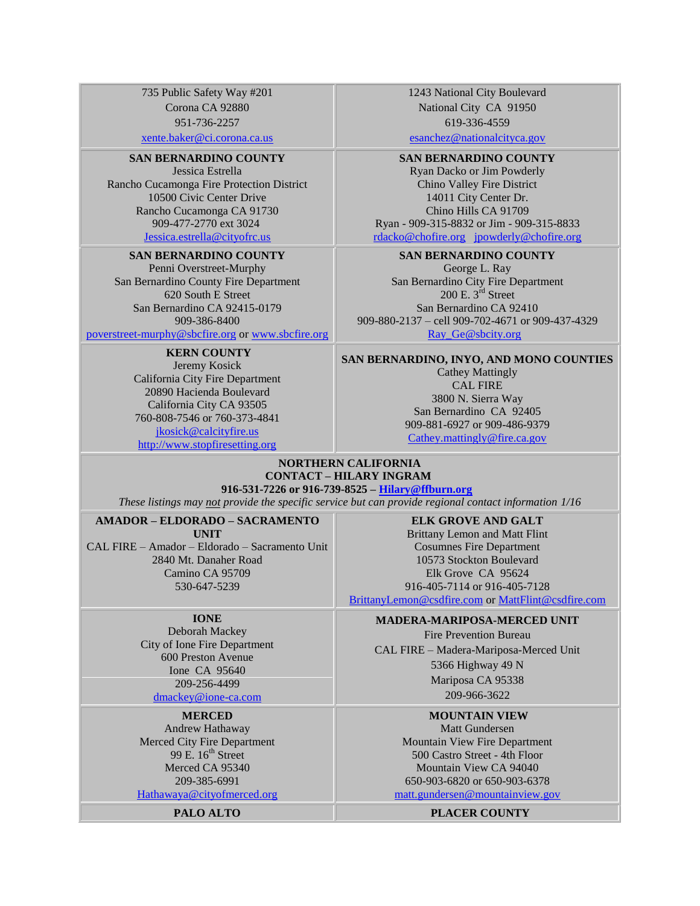735 Public Safety Way #201 Corona CA 92880 951-736-2257

[xente.baker@ci.corona.ca.us](mailto:xente.baker@ci.corona.ca.us)

#### **SAN BERNARDINO COUNTY**

Jessica Estrella Rancho Cucamonga Fire Protection District 10500 Civic Center Drive Rancho Cucamonga CA 91730 909-477-2770 ext 302[4](mailto:Kelley.Donaldson@cityofrc.us) [Jessica.estrella@cityofrc.us](mailto:Kelley.Donaldson@cityofrc.us)

#### **SAN BERNARDINO COUNTY**

Penni Overstreet-Murphy San Bernardino County Fire Department 620 South E Street San Bernardino CA 92415-0179 909-386-8400

[poverstreet-murphy@sbcfire.org](mailto:poverstreet-murphy@sbcfire.org) or [www.sbcfire.org](http://www.sbcfire.org/)

#### **KERN COUNTY**

Jeremy Kosick California City Fire Department 20890 Hacienda Boulevard California City CA 93505 760-808-7546 or 760-373-4841 [jkosick@calcityfire.us](mailto:jkosick@calcityfire.us) [http://www.stopfiresetting.org](http://www.stopfiresetting.org/)

1243 National City Boulevard National City CA 91950 619-336-4559

[esanchez@nationalcityca.gov](mailto:esanchez@nationalcityca.gov)

#### **SAN BERNARDINO COUNTY**

Ryan Dacko or Jim Powderly Chino Valley Fire District 14011 City Center Dr. Chino Hills CA 91709 Ryan - 909-315-8832 or Jim - 909-315-8833 [rdacko@chofire.org](mailto:rdacko@chofire.org) [jpowderly@chofire.org](mailto:jpowderly@chofire.org)

#### **SAN BERNARDINO COUNTY**

George L. Ray San Bernardino City Fire Department 200 E. 3<sup>rd</sup> Street San Bernardino CA 92410 909-880-2137 – cell 909-702-4671 or 909-437-4329 Ray Ge@sbcity.org

**SAN BERNARDINO, INYO, AND MONO COUNTIES** Cathey Mattingly CAL FIRE 3800 N. Sierra Way San Bernardino CA 92405 909-881-6927 or 909-486-9379 <Cathey.mattingly@fire.ca.gov>

#### **NORTHERN CALIFORNIA CONTACT – HILARY INGRAM 916-531-7226 or 916-739-8525 – [Hilary@ffburn.org](mailto:Hilary@ffburn.org)**

*These listings may not provide the specific service but can provide regional contact information 1/16*

#### **AMADOR – ELDORADO – SACRAMENTO**

**UNIT**

CAL FIRE – Amador – Eldorado – Sacramento Unit 2840 Mt. Danaher Road Camino CA 95709 530-647-5239

**ELK GROVE AND GALT**

Brittany Lemon and Matt Flint Cosumnes Fire Department 10573 Stockton Boulevard Elk Grove CA 95624 916-405-7114 or 916-405-7128 [BrittanyLemon@csdfire.com](mailto:BrittanyLemon@csdfire.com) or [MattFlint@csdfire.com](mailto:MattFlint@csdfire.com)

#### **IONE**

Deborah Mackey City of Ione Fire Department 600 Preston Avenue Ione CA 95640 209-256-4499 [dmackey@ione-ca.com](mailto:dmackey@ione-ca.com)

**MERCED**

Andrew Hathaway Merced City Fire Department 99 E.  $16<sup>th</sup>$  Street Merced CA 95340 209-385-6991 [Hathawaya@cityofmerced.org](mailto:Hathawaya@cityofmerced.org)

#### **MADERA-MARIPOSA-MERCED UNIT**

Fire Prevention Bureau CAL FIRE – Madera-Mariposa-Merced Unit 5366 Highway 49 N Mariposa CA 95338 209-966-3622

## **MOUNTAIN VIEW**

Matt Gundersen Mountain View Fire Department 500 Castro Street - 4th Floor Mountain View CA 94040 650-903-6820 or 650-903-6378 [matt.gundersen@mountainview.gov](matt.gundersen@mountainview.gov%20)

**PALO ALTO PLACER COUNTY**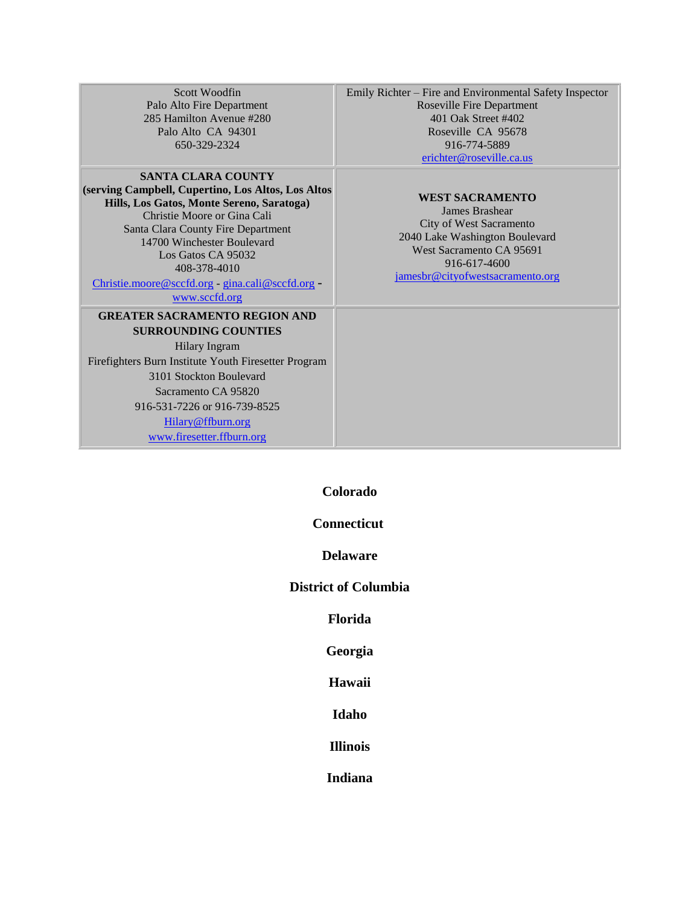Scott Woodfin Palo Alto Fire Department 285 Hamilton Avenue #280 Palo Alto CA 94301 650-329-2324

#### **SANTA CLARA COUNTY (serving Campbell, Cupertino, Los Altos, Los Altos Hills, Los Gatos, Monte Sereno, Saratoga)** Christie Moore or Gina Cali Santa Clara County Fire Department 14700 Winchester Boulevard Los Gatos CA 95032 408-378-4010

[Christie.moore@sccfd.org](mailto:Christie.moore@sccfd.org) - [gina.cali@sccfd.org](mailto:gina.cali@sccfd.org) [www.sccfd.org](http://www.sccfd.org/)

### **GREATER SACRAMENTO REGION AND SURROUNDING COUNTIES**

Hilary Ingram Firefighters Burn Institute Youth Firesetter Program 3101 Stockton Boulevard Sacramento CA 95820 916-531-7226 or 916-739-8525 [Hilary@ffburn.org](mailto:Hilary@ffburn.org)

<span id="page-3-0"></span>[www.firesetter.ffburn.org](http://www.firesetter.ffburn.org/)

Emily Richter – Fire and Environmental Safety Inspector Roseville Fire Department 401 Oak Street #402 Roseville CA 95678 916-774-5889 [erichter@roseville.ca.us](mailto:erichter@roseville.ca.us) 

#### **WEST SACRAMENTO**

James Brashear City of West Sacramento 2040 Lake Washington Boulevard West Sacramento CA 95691 916-617-4600 [jamesbr@cityofwestsacramento.org](mailto:jamesbr@cityofwestsacramento.org)

**Colorado**

## **Connecticut**

**Delaware**

<span id="page-3-3"></span><span id="page-3-2"></span><span id="page-3-1"></span>**District of Columbia**

**Florida**

**Georgia**

**Hawaii**

**Idaho**

**Illinois**

**Indiana**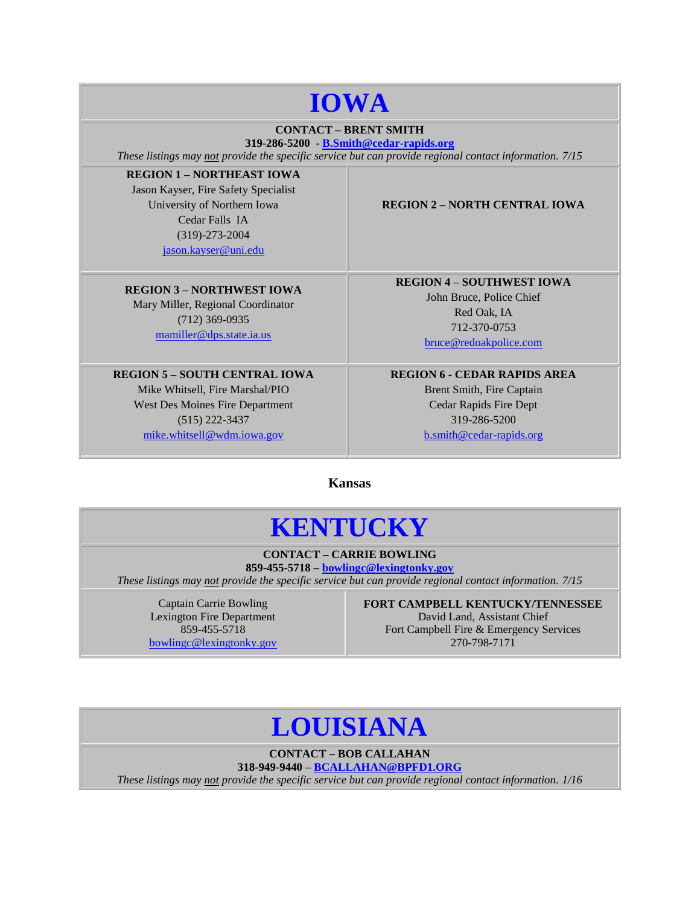## **IOWA**

### **CONTACT – BRENT SMITH**

**319-286-5200 - [B.Smith@cedar-rapids.org](mailto:B.Smith@cedar-rapids.org)** *These listings may not provide the specific service but can provide regional contact information. 7/15*

**REGION 1 – NORTHEAST IOWA** Jason Kayser, Fire Safety Specialist University of Northern Iowa Cedar Falls IA (319)-273-2004 [jason.kayser@uni.edu](mailto:jason.kayser@uni.edu)

#### **REGION 3 – NORTHWEST IOWA**

Mary Miller, Regional Coordinator (712) 369-0935 [mamiller@dps.state.ia.us](mailto:mamiller@dps.state.ia.us)

## **REGION 5 – SOUTH CENTRAL IOWA**

<span id="page-4-0"></span>Mike Whitsell, Fire Marshal/PIO West Des Moines Fire Department (515) 222-3437 [mike.whitsell@wdm.iowa.gov](mailto:mike.whitsell@wdm.iowa.gov)

### **REGION 2 – NORTH CENTRAL IOWA**

**REGION 4 – SOUTHWEST IOWA** John Bruce, Police Chief Red Oak, IA 712-370-0753 [bruce@redoakpolice.com](mailto:bruce@redoakpolice.com)

## **REGION 6 - CEDAR RAPIDS AREA**

Brent Smith, Fire Captain Cedar Rapids Fire Dept 319-286-5200 [b.smith@cedar-rapids.org](mailto:b.smith@cedar-rapids.org)

**[Kansas](#page-4-0)**

## **KENTUCKY**

### **CONTACT – CARRIE BOWLING 859-455-5718 – [bowlingc@lexingtonky.gov](mailto:bowlingc@lexingtonky.gov)**

<span id="page-4-1"></span>*These listings may not provide the specific service but can provide regional contact information. 7/15*

Captain Carrie Bowling Lexington Fire Department 859-455-5718 [bowlingc@lexingtonky.gov](mailto:bowlingc@lexingtonky.gov) **FORT CAMPBELL KENTUCKY/TENNESSEE** David Land, Assistant Chief Fort Campbell Fire & Emergency Services 270-798-7171

## **LOUISIANA**

**CONTACT – BOB CALLAHAN**

**318-949-9440 – [BCALLAHAN@BPFD1.ORG](mailto:BCALLAHAN@BPFD1.ORG)**

<span id="page-4-2"></span>*These listings may not provide the specific service but can provide regional contact information. 1/16*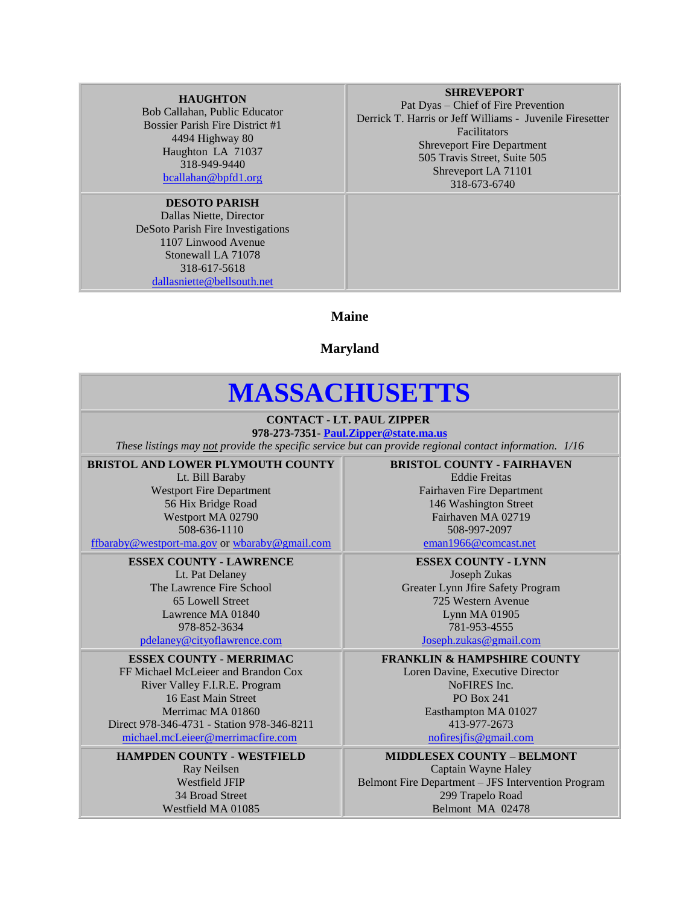#### **HAUGHTON**

Bob Callahan, Public Educator Bossier Parish Fire District #1 4494 Highway 80 Haughton LA 71037 318-949-9440 [bcallahan@bpfd1.org](mailto:bcallahan@bpfd1.org) 

## **DESOTO PARISH**

Dallas Niette, Director DeSoto Parish Fire Investigations 1107 Linwood Avenue Stonewall LA 71078 318-617-5618 [dallasniette@bellsouth.net](mailto:dallasniette@bellsouth.net)

#### **SHREVEPORT**

Pat Dyas – Chief of Fire Prevention Derrick T. Harris or Jeff Williams - Juvenile Firesetter Facilitators Shreveport Fire Department 505 Travis Street, Suite 505 Shreveport LA 71101 318-673-6740

**Maine**

**Maryland**

## **MASSACHUSETTS**

**CONTACT - LT. PAUL ZIPPER**

**978-273-7351- [Paul.Zipper@state.ma.us](mailto:Paul.Zipper@state.ma.us)** *These listings may not provide the specific service but can provide regional contact information. 1/16*

**BRISTOL AND LOWER PLYMOUTH COUNTY**

Lt. Bill Baraby Westport Fire Department 56 Hix Bridge Road Westport MA 02790 508-636-1110

[ffbaraby@westport-ma.gov](mailto:ffbaraby@westport-ma.gov) or<wbaraby@gmail.com>

**ESSEX COUNTY - LAWRENCE** Lt. Pat Delaney The Lawrence Fire School 65 Lowell Street Lawrence MA 01840

978-852-3634 [pdelaney@cityoflawrence.com](mailto:pdelaney@cityoflawrence.com)

#### **ESSEX COUNTY - MERRIMAC**

FF Michael McLeieer and Brandon Cox River Valley F.I.R.E. Program 16 East Main Street Merrimac MA 01860 Direct 978-346-4731 - Station 978-346-821[1](mailto:jim@ci.amesbury.ma.us) [michael.mcLeieer@merrimacfire.com](mailto:jim@ci.amesbury.ma.us)

**HAMPDEN COUNTY - WESTFIELD** Ray Neilsen Westfield JFIP 34 Broad Street Westfield MA 01085

**BRISTOL COUNTY - FAIRHAVEN** Eddie Freitas Fairhaven Fire Department 146 Washington Street Fairhaven MA 02719 508-997-2097

[eman1966@comcast.net](mailto:eman1966@comcast.net)

**ESSEX COUNTY - LYNN** Joseph Zukas Greater Lynn Jfire Safety Program 725 Western Avenue Lynn MA 01905 781-953-4555

[Joseph.zukas@gmail.com](mailto:Joseph.zukas@gmail.com)

**FRANKLIN & HAMPSHIRE COUNTY**

Loren Davine, Executive Director NoFIRES Inc. PO Box 241 Easthampton MA 01027 413-977-2673 [nofiresjfis@gmail.com](mailto:nofiresjfis@gmail.com)

**MIDDLESEX COUNTY – BELMONT** Captain Wayne Haley Belmont Fire Department – JFS Intervention Program 299 Trapelo Road Belmont MA 02478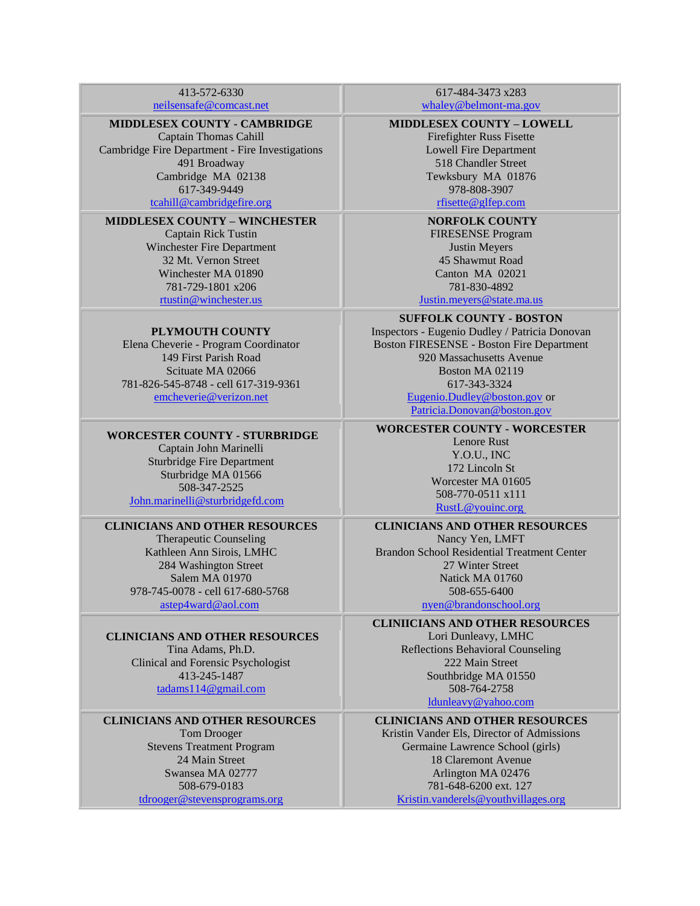413-572-6330 [neilsensafe@comcast.net](mailto:neilsensafe@comcast.net)

#### **MIDDLESEX COUNTY - CAMBRIDGE**

Captain Thomas Cahill Cambridge Fire Department - Fire Investigations 491 Broadway Cambridge MA 02138 617-349-9449 [tcahill@cambridgefire.org](mailto:tcahill@cambridgefire.org)

#### **MIDDLESEX COUNTY – WINCHESTER**

Captain Rick Tustin Winchester Fire Department 32 Mt. Vernon Street Winchester MA 01890 781-729-1801 x206 [rtustin@winchester.us](mailto:rtustin@winchester.us)

#### **PLYMOUTH COUNTY**

Elena Cheverie - Program Coordinator 149 First Parish Road Scituate MA 02066 781-826-545-8748 - cell 617-319-936[1](mailto:Bstone@hanoverfiredept.com) [emcheverie@verizon.net](mailto:Bstone@hanoverfiredept.com)

#### **WORCESTER COUNTY - STURBRIDGE**

Captain John Marinelli Sturbridge Fire Department Sturbridge MA 01566 508-347-2525 <John.marinelli@sturbridgefd.com>

## **CLINICIANS AND OTHER RESOURCES**

Therapeutic Counseling Kathleen Ann Sirois, LMHC 284 Washington Street Salem MA 01970 978-745-0078 - cell 617-680-5768 [astep4ward@aol.com](mailto:astep4ward@aol.com)

### **CLINICIANS AND OTHER RESOURCES**

Tina Adams, Ph.D. Clinical and Forensic Psychologist 413-245-148[7](mailto:wsfdgreen@comcast.net) [tadams114@gmail.com](mailto:wsfdgreen@comcast.net)

### **CLINICIANS AND OTHER RESOURCES**

Tom Drooger Stevens Treatment Program 24 Main Street Swansea MA 02777 508-679-0183 [tdrooger@stevensprograms.org](mailto:tdrooger@stevensprograms.org)

617-484-3473 x283 [whaley@belmont-ma.gov](mailto:whaley@belmont-ma.gov)

#### **MIDDLESEX COUNTY – LOWELL**

Firefighter Russ Fisette Lowell Fire Department 518 Chandler Street Tewksbury MA 01876 978-808-3907

## [rfisette@glfep.com](rfisette@glfep.com%20)

**NORFOLK COUNTY** FIRESENSE Program Justin Meyers 45 Shawmut Road Canton MA 02021 781-830-4892

[Justin.meyers@state.ma.us](mailto:Justin.meyers@state.ma.us)

**SUFFOLK COUNTY - BOSTON**

Inspectors - Eugenio Dudley / Patricia Donovan Boston FIRESENSE - Boston Fire Department 920 Massachusetts Avenue Boston MA 02119 617-343-3324 [Eugenio.Dudley@boston.gov](mailto:Eugenio.Dudley@boston.gov) or

[Patricia.Donovan@boston.gov](Patricia.Donovan@boston.gov%20)

## **WORCESTER COUNTY - WORCESTER**

Lenore Rust Y.O.U., INC 172 Lincoln St Worcester MA 01605 508-770-0511 x11[1](mailto:Johnsonl@youinc.org) [RustL@youinc.org](mailto:Johnsonl@youinc.org)

#### **CLINICIANS AND OTHER RESOURCES** Nancy Yen, LMFT Brandon School Residential Treatment Center 27 Winter Street Natick MA 01760

508-655-640[0](mailto:nyen@brandonschool.org) [nyen@brandonschool.org](mailto:nyen@brandonschool.org)

**CLINIICIANS AND OTHER RESOURCES**

Lori Dunleavy, LMHC Reflections Behavioral Counseling 222 Main Street Southbridge MA 01550 508-764-2758

[ldunleavy@yahoo.com](ldunleavy@yahoo.com%20)

### **CLINICIANS AND OTHER RESOURCES**

Kristin Vander Els, Director of Admissions Germaine Lawrence School (girls) 18 Claremont Avenue Arlington MA 02476 781-648-6200 ext. 127 [Kristin.vanderels@youthvillages.org](mailto:Kristin.vanderels@youthvillages.org)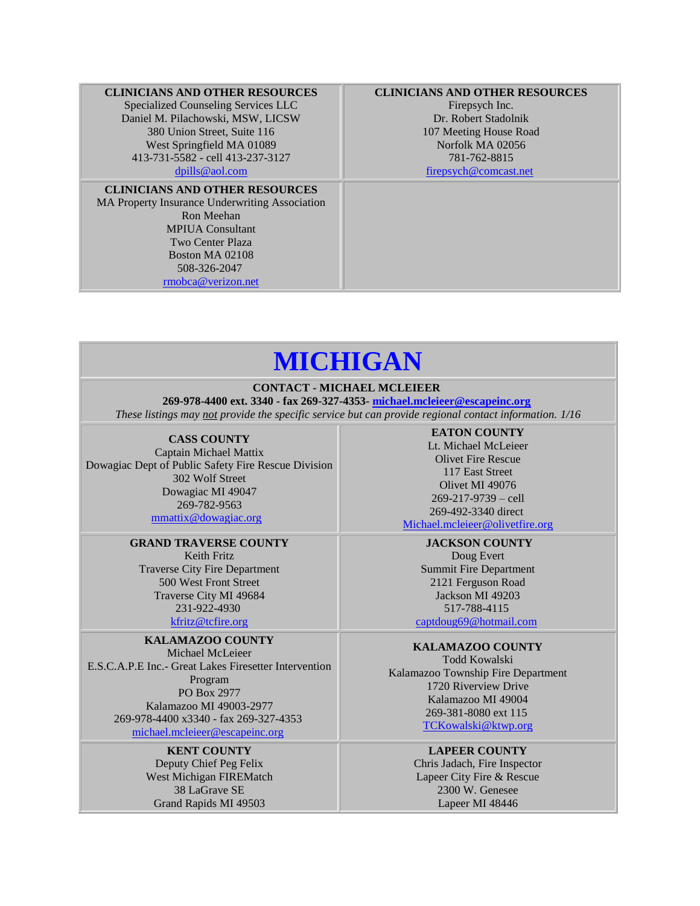#### **CLINICIANS AND OTHER RESOURCES**

Specialized Counseling Services LLC Daniel M. Pilachowski, MSW, LICSW 380 Union Street, Suite 116 West Springfield MA 01089 413-731-5582 - cell 413-237-3127 [dpills@aol.com](dpills@aol.com%20)

#### **CLINICIANS AND OTHER RESOURCES**

MA Property Insurance Underwriting Association Ron Meehan MPIUA Consultant Two Center Plaza Boston MA 02108 508-326-2047 [rmobca@verizon.net](mailto:rmobca@verizon.net)

### **CLINICIANS AND OTHER RESOURCES**

Firepsych Inc. Dr. Robert Stadolnik 107 Meeting House Road Norfolk MA 02056 781-762-8815 [firepsych@comcast.net](mailto:firepsych@comcast.net)

## **MICHIGAN**

#### **CONTACT - MICHAEL MCLEIEER**

**269-978-4400 ext. 3340 - fax 269-327-4353- [michael.mcleieer@escapeinc.org](mailto:michael.mcleieer@escapeinc.org)** *These listings may not provide the specific service but can provide regional contact information. 1/16*

**CASS COUNTY**

Captain Michael Mattix Dowagiac Dept of Public Safety Fire Rescue Division 302 Wolf Street Dowagiac MI 49047 269-782-9563 [mmattix@dowagiac.org](mailto:mmattix@dowagiac.org)

#### **GRAND TRAVERSE COUNTY**

Keith Fritz Traverse City Fire Department 500 West Front Street Traverse City MI 49684 231-922-4930 [kfritz@tcfire.org](mailto:kfritz@tcfire.org)

## **KALAMAZOO COUNTY**

Michael McLeieer E.S.C.A.P.E Inc.- Great Lakes Firesetter Intervention Program PO Box 2977 Kalamazoo MI 49003-2977 269-978-4400 x3340 - fax 269-327-435[3](mailto:michael.mcleieer@escapeinc.org) [michael.mcleieer@escapeinc.org](mailto:michael.mcleieer@escapeinc.org)

#### **KENT COUNTY**

Deputy Chief Peg Felix West Michigan FIREMatch 38 LaGrave SE Grand Rapids MI 49503

**EATON COUNTY** Lt. Michael McLeieer Olivet Fire Rescue 117 East Street Olivet MI 49076 269-217-9739 – cell 269-492-3340 direct

[Michael.mcleieer@olivetfire.org](mailto:olivetfire@cablespeed.com)

**JACKSON COUNTY** Doug Evert Summit Fire Department 2121 Ferguson Road Jackson MI 49203 517-788-4115 [captdoug69@hotmail.com](mailto:captdoug69@hotmail.com)

#### **KALAMAZOO COUNTY**

Todd Kowalski Kalamazoo Township Fire Department 1720 Riverview Drive Kalamazoo MI 49004 269-381-8080 ext 115 [TCKowalski@ktwp.org](mailto:TCKowalski@ktwp.org)

#### **LAPEER COUNTY**

Chris Jadach, Fire Inspector Lapeer City Fire & Rescue 2300 W. Genesee Lapeer MI 48446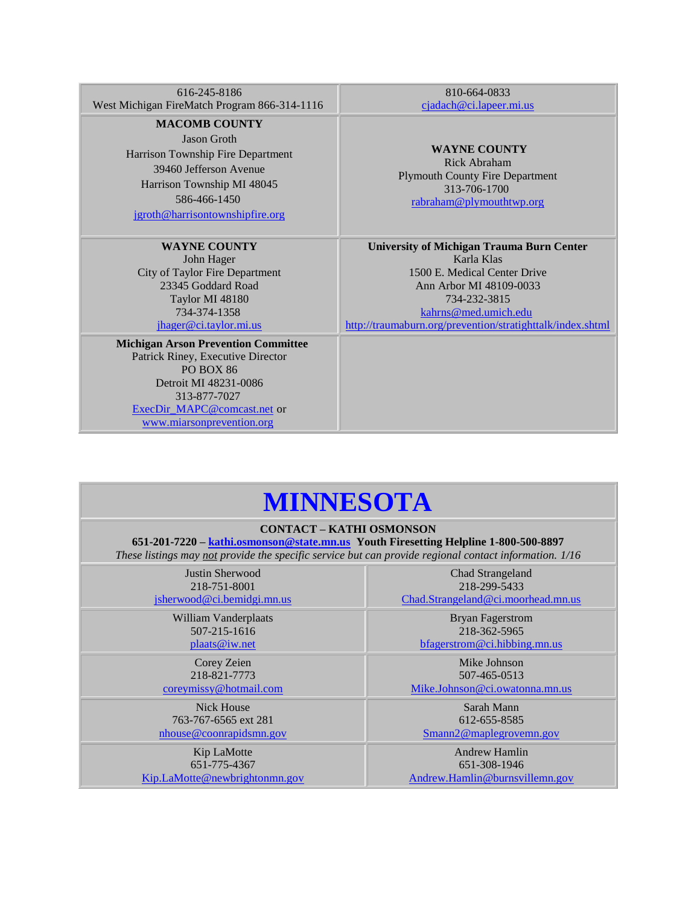616-245-8186 West Michigan FireMatch Program 866-314-1116

**MACOMB COUNTY**

Jason Groth Harrison Township Fire Department 39460 Jefferson Avenue Harrison Township MI 48045 586-466-1450

[jgroth@harrisontownshipfire.org](mailto:jgroth@harrisontownshipfire.org)

**WAYNE COUNTY** John Hager City of Taylor Fire Department 23345 Goddard Road Taylor MI 48180

734-374-1358 [jhager@ci.taylor.mi.us](mailto:jhager@ci.taylor.mi.us) **Michigan Arson Prevention Committee**

Patrick Riney, Executive Director PO BOX 86 Detroit MI 48231-0086 313-877-7027 [ExecDir\\_MAPC@comcast.net](mailto:jameslabuhn@comcast.net) or [www.miarsonprevention.org](http://www.miarsonprevention.org/)

810-664-0833 [cjadach@ci.lapeer.mi.us](mailto::cjadach@ci.lapeer.mi.us)

**WAYNE COUNTY** Rick Abraham Plymouth County Fire Department 313-706-170[0](mailto:rabraham@plymouthtwp.org) [rabraham@plymouthtwp.org](mailto:rabraham@plymouthtwp.org)

**University of Michigan Trauma Burn Center** Karla Klas 1500 E. Medical Center Drive Ann Arbor MI 48109-0033 734-232-381[5](mailto:kahrns@med.umich.edu) [kahrns@med.umich.edu](mailto:kahrns@med.umich.edu) <http://traumaburn.org/prevention/stratighttalk/index.shtml>

## **MINNESOTA**

## **CONTACT – KATHI OSMONSON**

**651-201-7220 – [kathi.osmonson@state.mn.us](mailto:kathi.osmonson@state.mn.us) Youth Firesetting Helpline 1-800-500-8897** *These listings may not provide the specific service but can provide regional contact information. 1/16*

| Justin Sherwood                      | Chad Strangeland                   |
|--------------------------------------|------------------------------------|
| 218-751-8001                         | 218-299-5433                       |
| jsherwood@ci.bemidgi.mn.us           | Chad.Strangeland@ci.moorhead.mn.us |
| William Vanderplaats                 | <b>Bryan Fagerstrom</b>            |
| 507-215-1616                         | 218-362-5965                       |
| plaats@iw.net                        | bfagerstrom@ci.hibbing.mn.us       |
| Corey Zeien                          | Mike Johnson                       |
| 218-821-7773                         | 507-465-0513                       |
| coreymissy@hotmail.com               | Mike.Johnson@ci.owatonna.mn.us     |
| <b>Nick House</b>                    | Sarah Mann                         |
| 763-767-6565 ext 281                 | 612-655-8585                       |
| nhouse @coonrapidsmn.gov             | Smann2@maplegrovemn.gov            |
| Kip LaMotte                          | <b>Andrew Hamlin</b>               |
| 651-775-4367                         | 651-308-1946                       |
| <u>Kip.LaMotte@newbrightonmn.gov</u> | Andrew.Hamlin@burnsvillemn.gov     |
|                                      |                                    |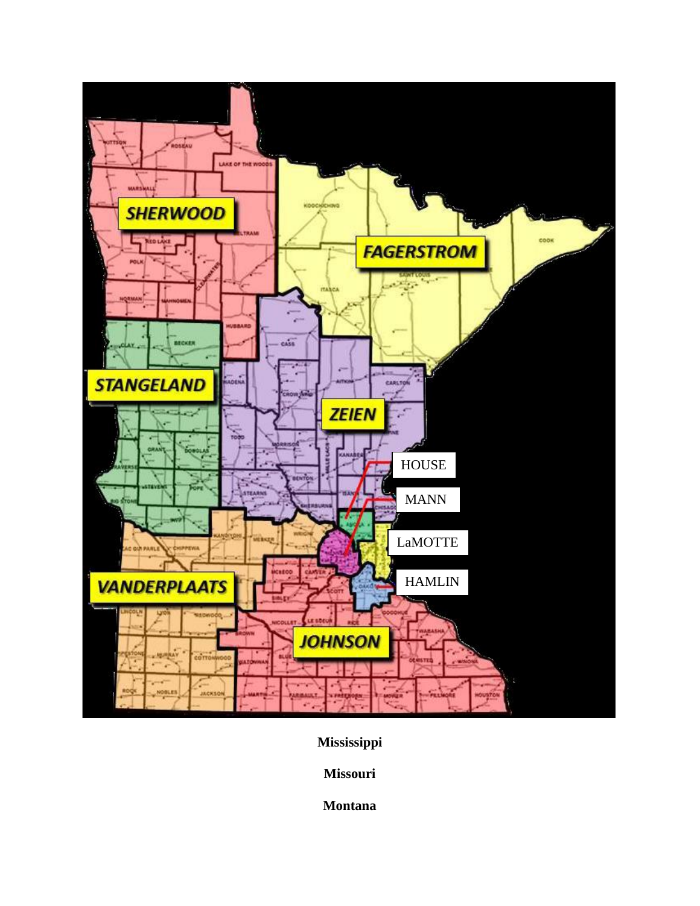

**Mississippi**

**Missouri**

**Montana**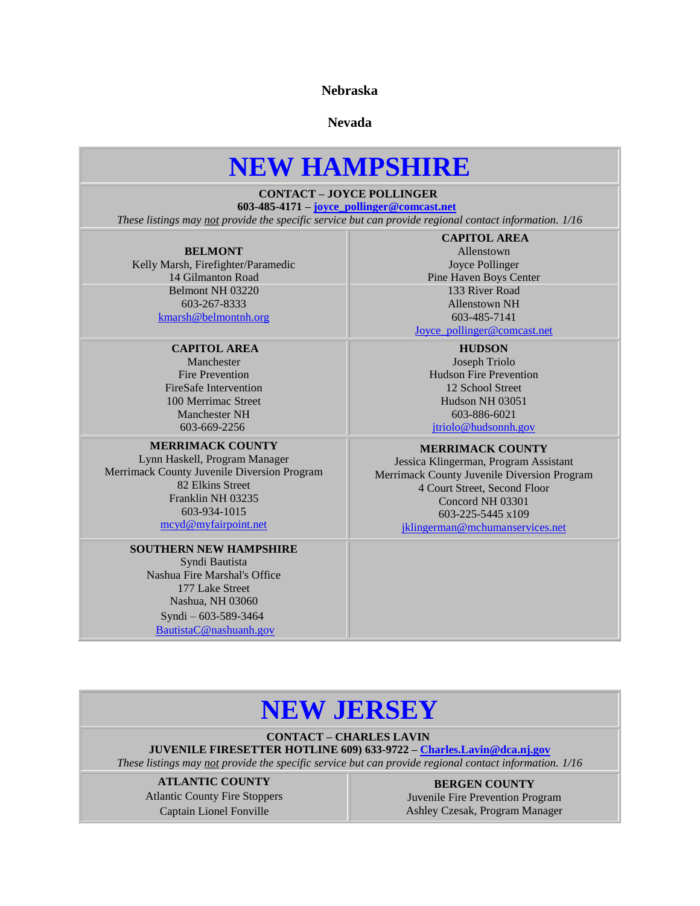**Nebraska**

**Nevada**

## **NEW HAMPSHIRE**

## **CONTACT – JOYCE POLLINGER**

**603-485-4171 – [joyce\\_pollinger@comcast.net](mailto:joyce_pollinger@comcast.net)**

<span id="page-10-0"></span>*These listings may not provide the specific service but can provide regional contact information. 1/16*

#### **BELMONT**

Kelly Marsh, Firefighter/Paramedic 14 Gilmanton Road Belmont NH 03220 603-267-8333 [kmarsh@belmontnh.org](mailto:kmarsh@belmontnh.org)

### **CAPITOL AREA**

Manchester Fire Prevention FireSafe Intervention 100 Merrimac Street Manchester NH 603-669-2256

#### **MERRIMACK COUNTY**

Lynn Haskell, Program Manager Merrimack County Juvenile Diversion Program 82 Elkins Street Franklin NH 03235 603-934-1015 [mcyd@myfairpoint.net](mailto:mcyd@myfairpoint.net)

#### **SOUTHERN NEW HAMPSHIRE**

Syndi Bautista Nashua Fire Marshal's Office 177 Lake Street Nashua, NH 03060 Syndi – 603-589-3464 [BautistaC@nashuanh.gov](mailto:BautistaC@nashuanh.gov)

**CAPITOL AREA** Allenstown Joyce Pollinger Pine Haven Boys Center 133 River Road Allenstown NH 603-485-7141

[Joyce\\_pollinger@comcast.net](mailto:Joyce_pollinger@comcast.net)

**HUDSON** Joseph Triolo Hudson Fire Prevention 12 School Street Hudson NH 03051 603-886-6021 [jtriolo@hudsonnh.gov](mailto:jtriolo@hudsonnh.gov)

#### **MERRIMACK COUNTY**

Jessica Klingerman, Program Assistant Merrimack County Juvenile Diversion Program 4 Court Street, Second Floor Concord NH 03301 603-225-5445 x109 [jklingerman@mchumanservices.net](mailto:jklingerman@mchumanservices.net)

## **NEW JERSEY**

**CONTACT – CHARLES LAVIN**

## **JUVENILE FIRESETTER HOTLINE 609) 633-9722 – [Charles.Lavin@dca.nj.gov](mailto:Charles.Lavin@dca.nj.gov)**

*These listings may not provide the specific service but can provide regional contact information. 1/16*

**ATLANTIC COUNTY** Atlantic County Fire Stoppers Captain Lionel Fonville

**BERGEN COUNTY** Juvenile Fire Prevention Program Ashley Czesak, Program Manager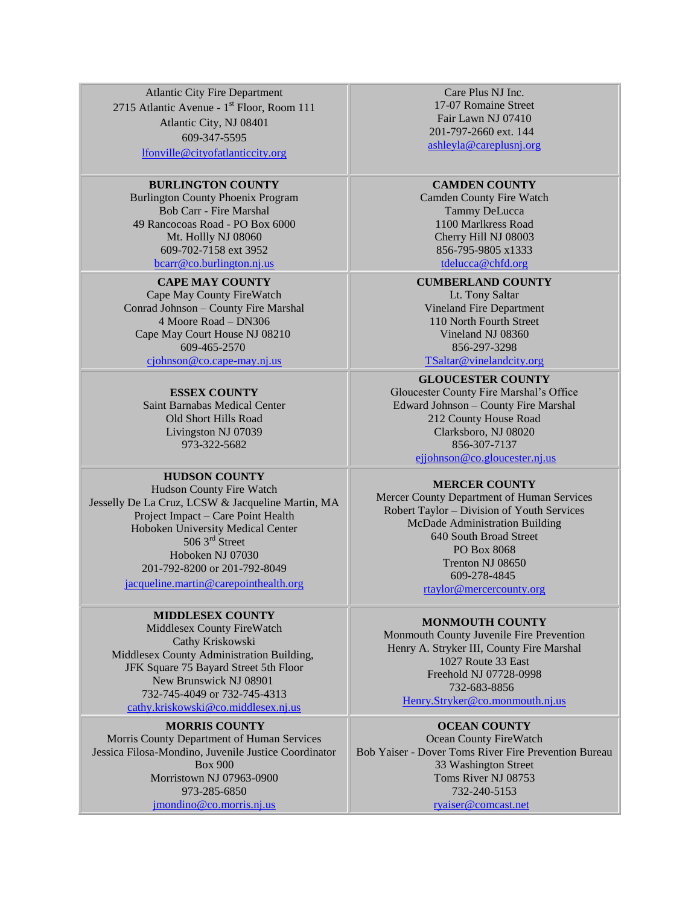Atlantic City Fire Department 2715 Atlantic Avenue - 1<sup>st</sup> Floor, Room 111 Atlantic City, NJ 08401 609-347-5595 [lfonville@cityofatlanticcity.org](mailto:lfonville@cityofatlanticcity.org)

#### **BURLINGTON COUNTY**

Burlington County Phoenix Program Bob Carr - Fire Marshal 49 Rancocoas Road - PO Box 6000 Mt. Hollly NJ 08060 609-702-7158 ext 3952 <bcarr@co.burlington.nj.us>

#### **CAPE MAY COUNTY**

Cape May County FireWatch Conrad Johnson – County Fire Marshal 4 Moore Road – DN306 Cape May Court House NJ 08210 609-465-2570 [cjohnson@co.cape-may.nj.us](mailto:asbeers@comcast.net)

> **ESSEX COUNTY** Saint Barnabas Medical Center Old Short Hills Road Livingston NJ 07039 973-322-5682

#### **HUDSON COUNTY**

Hudson County Fire Watch Jesselly De La Cruz, LCSW & Jacqueline Martin, MA Project Impact – Care Point Health Hoboken University Medical Center  $5063<sup>rd</sup>$  Street Hoboken NJ 07030 201-792-8200 or 201-792-8049

[jacqueline.martin@carepointhealth.org](mailto:bcquidor@nhrfr.org)

#### **MIDDLESEX COUNTY**

Middlesex County FireWatch Cathy Kriskowski Middlesex County Administration Building, JFK Square 75 Bayard Street 5th Floor New Brunswick NJ 08901 732-745-4049 or 732-745-4313 [cathy.kriskowski@co.middlesex.nj.us](mailto:cathy.kriskowski@co.middlesex.nj.us)

#### **MORRIS COUNTY**

Morris County Department of Human Services Jessica Filosa-Mondino, Juvenile Justice Coordinator Box 900 Morristown NJ 07963-0900 973-285-6850 [jmondino@co.morris.nj.us](mailto:kboralsky@co.morris.nj.us)

Care Plus NJ Inc. 17-07 Romaine Street Fair Lawn NJ 07410 201-797-2660 ext. 144 [ashleyla@careplusnj.org](mailto:LauraL@careplusnj.org)

#### **CAMDEN COUNTY**

Camden County Fire Watch Tammy DeLucca 1100 Marlkress Road Cherry Hill NJ 08003 856-795-9805 x133[3](mailto:arbraig@comcast.net) [tdelucca@chfd.org](mailto:arbraig@comcast.net) 

**CUMBERLAND COUNTY**

Lt. Tony Saltar Vineland Fire Department 110 North Fourth Street Vineland NJ 08360 856-297-3298

[TSaltar@vinelandcity.org](mailto:TSaltar@vinelandcity.org)

**GLOUCESTER COUNTY** Gloucester County Fire Marshal's Office Edward Johnson – County Fire Marshal 212 County House Road Clarksboro, NJ 08020 856-307-7137 [ejjohnson@co.gloucester.nj.us](mailto:ejjohnson@co.gloucester.nj.us)

**MERCER COUNTY**

Mercer County Department of Human Services Robert Taylor – Division of Youth Services McDade Administration Building 640 South Broad Street PO Box 8068 Trenton NJ 08650 609-278-4845 [rtaylor@mercercounty.org](mailto:joanne.morris@co.middlesex.nj.us)

#### **MONMOUTH COUNTY**

Monmouth County Juvenile Fire Prevention Henry A. Stryker III, County Fire Marshal 1027 Route 33 East Freehold NJ 07728-0998 732-683-8856 [Henry.Stryker@co.monmouth.nj.us](mailto:Henry.Stryker@co.monmouth.nj.us)

#### **OCEAN COUNTY**

Ocean County FireWatch Bob Yaiser - Dover Toms River Fire Prevention Bureau 33 Washington Street Toms River NJ 08753 732-240-5153 [ryaiser@comcast.net](mailto:ryaiser@comcast.net)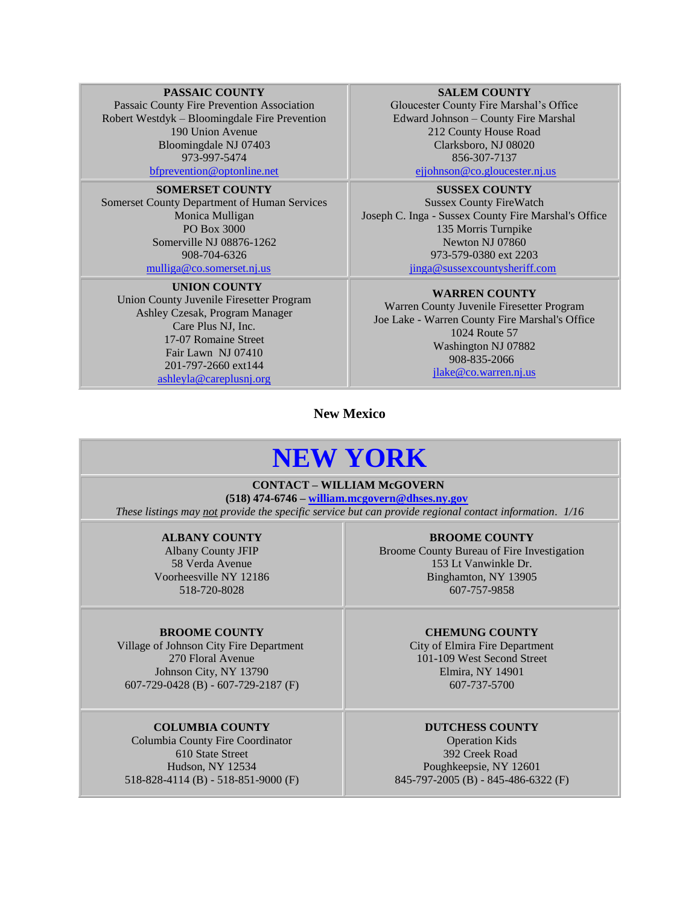#### **PASSAIC COUNTY**

Passaic County Fire Prevention Association Robert Westdyk – Bloomingdale Fire Prevention 190 Union Avenue Bloomingdale NJ 07403 973-997-5474 [bfprevention@optonline.net](mailto:bfprevention@optonline.net)

**SOMERSET COUNTY** Somerset County Department of Human Services Monica Mulligan PO Box 3000 Somerville NJ 0887[6-1262](mailto:pearce@co.somerset.nj.us) 908-704-6326 [mulliga@co.somerset.nj.us](mailto:pearce@co.somerset.nj.us)

 **UNION COUNTY** Union County Juvenile Firesetter Program Ashley Czesak, Program Manager Care Plus NJ, Inc. 17-07 Romaine Street Fair Lawn NJ 07410 201-797-2660 ext144 [ashleyla@careplusnj.org](mailto:ashleyla@careplusnj.org)

#### **SALEM COUNTY**

Gloucester County Fire Marshal's Office Edward Johnson – County Fire Marshal 212 County House Road Clarksboro, NJ 08020 856-307-7137

[ejjohnson@co.gloucester.nj.us](mailto:ejjohnson@co.gloucester.nj.us)

**SUSSEX COUNTY** Sussex County FireWatch Joseph C. Inga - Sussex County Fire Marshal's Office 135 Morris Turnpike Newton NJ 07860 973-579-0380 ext 2203 [jinga@sussexcountysheriff.com](mailto:tdavis@cablevision.com)

**WARREN COUNTY**

Warren County Juvenile Firesetter Program Joe Lake - Warren County Fire Marshal's Office 1024 Route 57 Washington NJ 07882 908-835-2066 [jlake@co.warren.nj.us](mailto:jlake@co.warren.nj.us)

**New Mexico**

## **NEW YORK**

## **CONTACT – WILLIAM McGOVERN**

**(518) 474-6746 – [william.mcgovern@dhses.ny.gov](mailto:william.mcgovern@dhses.ny.gov)** *These listings may not provide the specific service but can provide regional contact information. 1/16*

#### **ALBANY COUNTY**

Albany County JFIP 58 Verda Avenue Voorheesville NY 12186 518-720-8028

#### **BROOME COUNTY**

Village of Johnson City Fire Department 270 Floral Avenue Johnson City, NY 13790 607-729-0428 (B) - 607-729-2187 (F)

#### **COLUMBIA COUNTY**

Columbia County Fire Coordinator 610 State Street Hudson, NY 12534 518-828-4114 (B) - 518-851-9000 (F)

**BROOME COUNTY** Broome County Bureau of Fire Investigation 153 Lt Vanwinkle Dr. Binghamton, NY 13905 607-757-9858

#### **CHEMUNG COUNTY**

City of Elmira Fire Department 101-109 West Second Street Elmira, NY 14901 607-737-5700

#### **DUTCHESS COUNTY**

Operation Kids 392 Creek Road Poughkeepsie, NY 12601 845-797-2005 (B) - 845-486-6322 (F)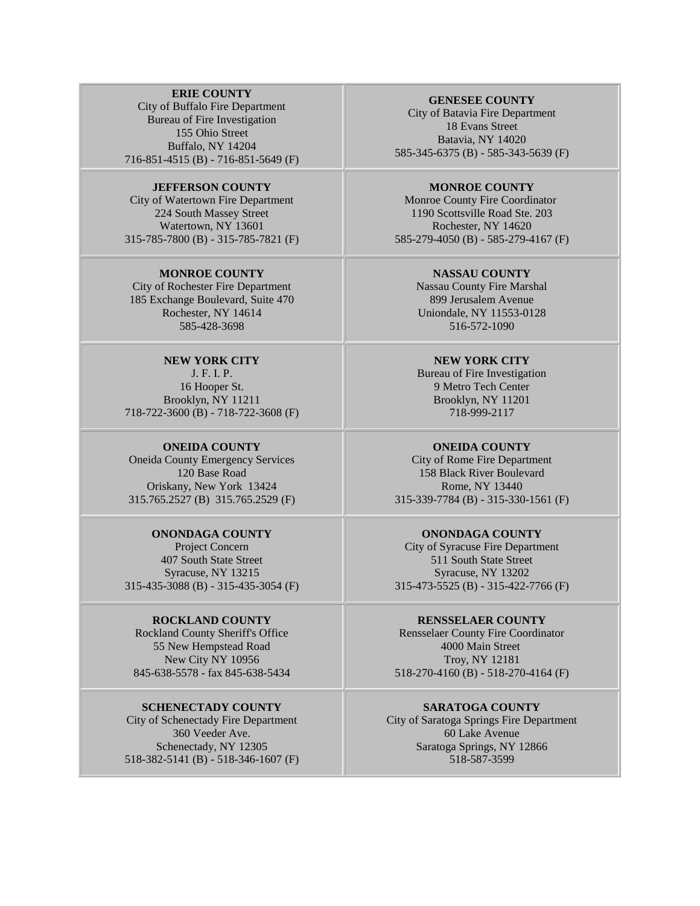#### **ERIE COUNTY**

City of Buffalo Fire Department Bureau of Fire Investigation 155 Ohio Street Buffalo, NY 14204 716-851-4515 (B) - 716-851-5649 (F)

**JEFFERSON COUNTY** City of Watertown Fire Department 224 South Massey Street Watertown, NY 13601 315-785-7800 (B) - 315-785-7821 (F)

**MONROE COUNTY** City of Rochester Fire Department 185 Exchange Boulevard, Suite 470 Rochester, NY 14614 585-428-3698

**NEW YORK CITY** J. F. I. P. 16 Hooper St. Brooklyn, NY 11211 718-722-3600 (B) - 718-722-3608 (F)

### **ONEIDA COUNTY**

Oneida County Emergency Services 120 Base Road Oriskany, New York 13424 315.765.2527 (B) 315.765.2529 (F)

**ONONDAGA COUNTY** Project Concern 407 South State Street Syracuse, NY 13215 315-435-3088 (B) - 315-435-3054 (F)

#### **ROCKLAND COUNTY**

Rockland County Sheriff's Office 55 New Hempstead Road New City NY 10956 845-638-5578 - fax 845-638-5434

**SCHENECTADY COUNTY** City of Schenectady Fire Department 360 Veeder Ave. Schenectady, NY 12305 518-382-5141 (B) - 518-346-1607 (F)

#### **GENESEE COUNTY**

City of Batavia Fire Department 18 Evans Street Batavia, NY 14020 585-345-6375 (B) - 585-343-5639 (F)

#### **MONROE COUNTY**

Monroe County Fire Coordinator 1190 Scottsville Road Ste. 203 Rochester, NY 14620 585-279-4050 (B) - 585-279-4167 (F)

#### **NASSAU COUNTY**

Nassau County Fire Marshal 899 Jerusalem Avenue Uniondale, NY 11553-0128 516-572-1090

#### **NEW YORK CITY**

Bureau of Fire Investigation 9 Metro Tech Center Brooklyn, NY 11201 718-999-2117

#### **ONEIDA COUNTY**

City of Rome Fire Department 158 Black River Boulevard Rome, NY 13440 315-339-7784 (B) - 315-330-1561 (F)

#### **ONONDAGA COUNTY**

City of Syracuse Fire Department 511 South State Street Syracuse, NY 13202 315-473-5525 (B) - 315-422-7766 (F)

#### **RENSSELAER COUNTY**

Rensselaer County Fire Coordinator 4000 Main Street Troy, NY 12181 518-270-4160 (B) - 518-270-4164 (F)

**SARATOGA COUNTY** City of Saratoga Springs Fire Department 60 Lake Avenue Saratoga Springs, NY 12866 518-587-3599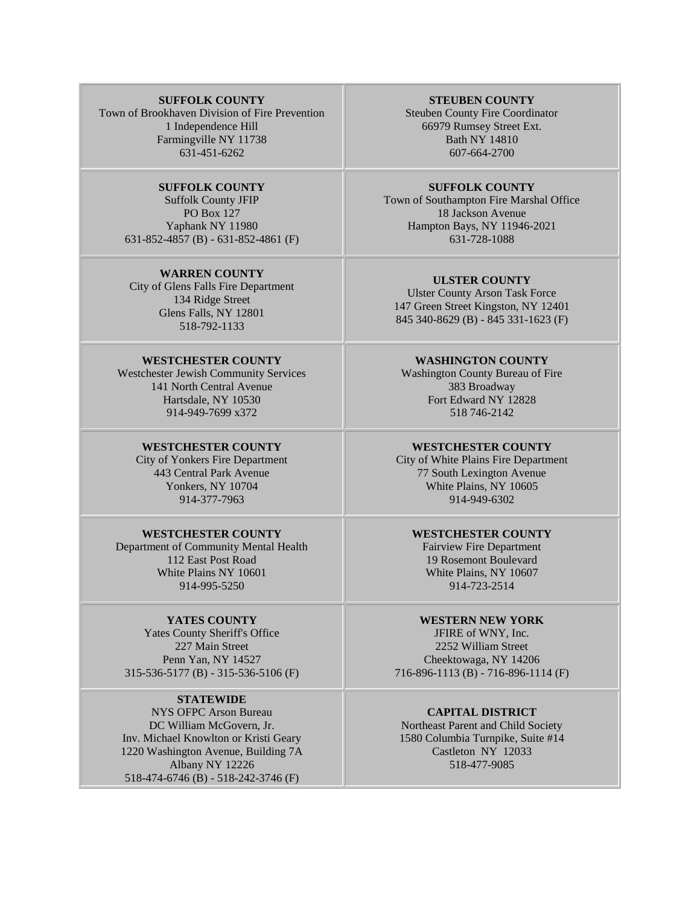#### **SUFFOLK COUNTY**

Town of Brookhaven Division of Fire Prevention 1 Independence Hill Farmingville NY 11738 631-451-6262

> **SUFFOLK COUNTY** Suffolk County JFIP PO Box 127 Yaphank NY 11980 631-852-4857 (B) - 631-852-4861 (F)

#### **WARREN COUNTY**

City of Glens Falls Fire Department 134 Ridge Street Glens Falls, NY 12801 518-792-1133

#### **WESTCHESTER COUNTY**

Westchester Jewish Community Services 141 North Central Avenue Hartsdale, NY 10530 914-949-7699 x372

#### **WESTCHESTER COUNTY**

City of Yonkers Fire Department 443 Central Park Avenue Yonkers, NY 10704 914-377-7963

#### **WESTCHESTER COUNTY**

Department of Community Mental Health 112 East Post Road White Plains NY 10601 914-995-5250

#### **YATES COUNTY**

Yates County Sheriff's Office 227 Main Street Penn Yan, NY 14527 315-536-5177 (B) - 315-536-5106 (F)

#### **STATEWIDE**

NYS OFPC Arson Bureau DC William McGovern, Jr. Inv. Michael Knowlton or Kristi Geary 1220 Washington Avenue, Building 7A Albany NY 12226 518-474-6746 (B) - 518-242-3746 (F)

#### **STEUBEN COUNTY**

Steuben County Fire Coordinator 66979 Rumsey Street Ext. Bath NY 14810 607-664-2700

#### **SUFFOLK COUNTY**

Town of Southampton Fire Marshal Office 18 Jackson Avenue Hampton Bays, NY 11946-2021 631-728-1088

#### **ULSTER COUNTY**

Ulster County Arson Task Force 147 Green Street Kingston, NY 12401 845 340-8629 (B) - 845 331-1623 (F)

#### **WASHINGTON COUNTY**

Washington County Bureau of Fire 383 Broadway Fort Edward NY 12828 518 746-2142

#### **WESTCHESTER COUNTY**

City of White Plains Fire Department 77 South Lexington Avenue White Plains, NY 10605 914-949-6302

#### **WESTCHESTER COUNTY**

Fairview Fire Department 19 Rosemont Boulevard White Plains, NY 10607 914-723-2514

#### **WESTERN NEW YORK**

JFIRE of WNY, Inc. 2252 William Street Cheektowaga, NY 14206 716-896-1113 (B) - 716-896-1114 (F)

### **CAPITAL DISTRICT**

Northeast Parent and Child Society 1580 Columbia Turnpike, Suite #14 Castleton NY 12033 518-477-9085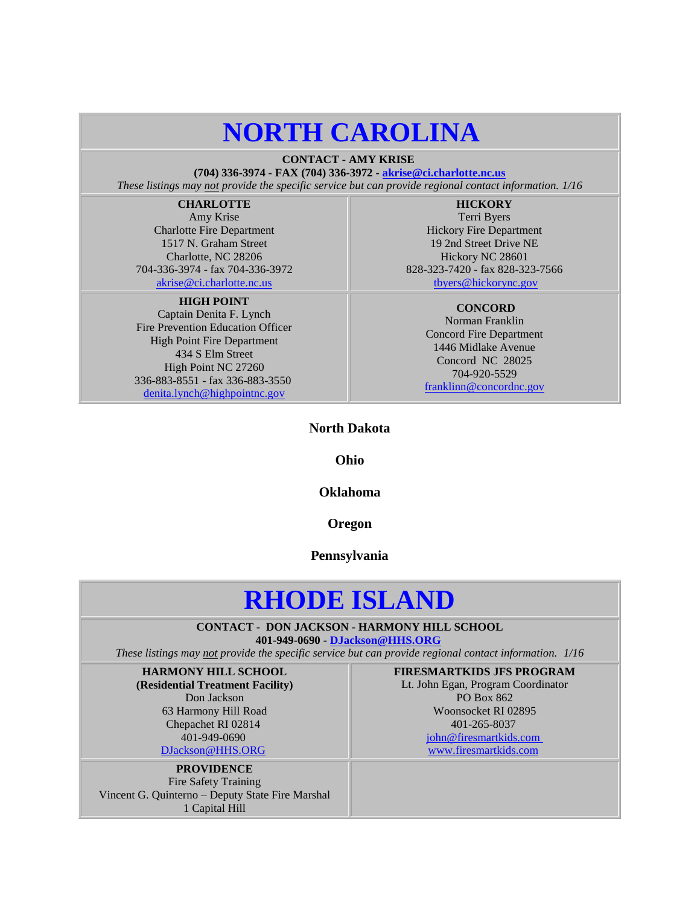## **NORTH CAROLINA**

**CONTACT - AMY KRISE**

**(704) 336-3974 - FAX (704) 336-3972 - [akrise@ci.charlotte.nc.us](mailto:akrise@ci.charlotte.nc.us)** *These listings may not provide the specific service but can provide regional contact information. 1/16*

## **CHARLOTTE**

Amy Krise Charlotte Fire Department 1517 N. Graham Street Charlotte, NC 28206 704-336-3974 - fax 704-336-3972 [akrise@ci.charlotte.nc.us](mailto:akrise@ci.charlotte.nc.us)

#### **HIGH POINT**

Captain Denita F. Lynch Fire Prevention Education Officer High Point Fire Department 434 S Elm Street High Point NC 27260 336-883-8551 - fax 336-883-3550 [denita.lynch@highpointnc.gov](mailto:denita.davis@highpointnc.gov)

**HICKORY** Terri Byers Hickory Fire Department 19 2nd Street Drive NE Hickory NC 28601 828-323-7420 - fax 828-323-7566 [tbyers@hickorync.gov](mailto:tbyers@hickorync.gov)

#### **CONCORD** Norman Franklin

Concord Fire Department 1446 Midlake Avenue Concord NC 28025 704-920-5529 [franklinn@concordnc.gov](mailto:franklinn@concordnc.gov)

## **North Dakota**

## **Ohio**

### **Oklahoma**

### **Oregon**

#### **Pennsylvania**

## **RHODE ISLAND**

**CONTACT - DON JACKSON - HARMONY HILL SCHOOL 401-949-0690 - [DJackson@HHS.ORG](mailto:DJackson@HHS.ORG)**

<span id="page-15-0"></span>*These listings may not provide the specific service but can provide regional contact information. 1/16*

**HARMONY HILL SCHOOL (Residential Treatment Facility)** Don Jackson 63 Harmony Hill Road Chepachet RI 02814 401-949-0690 [DJackson@HHS.ORG](mailto:DJackson@HHS.ORG)

**PROVIDENCE** Fire Safety Training Vincent G. Quinterno – Deputy State Fire Marshal 1 Capital Hill

**FIRESMARTKIDS JFS PROGRAM** Lt. John Egan, Program Coordinator PO Box 862 Woonsocket RI 02895 401-265-803[7](mailto:john@firesmartkids.com) [john@firesmartkids.com](mailto:john@firesmartkids.com)

[www.firesmartkids.com](http://www.firesmartkids.com/)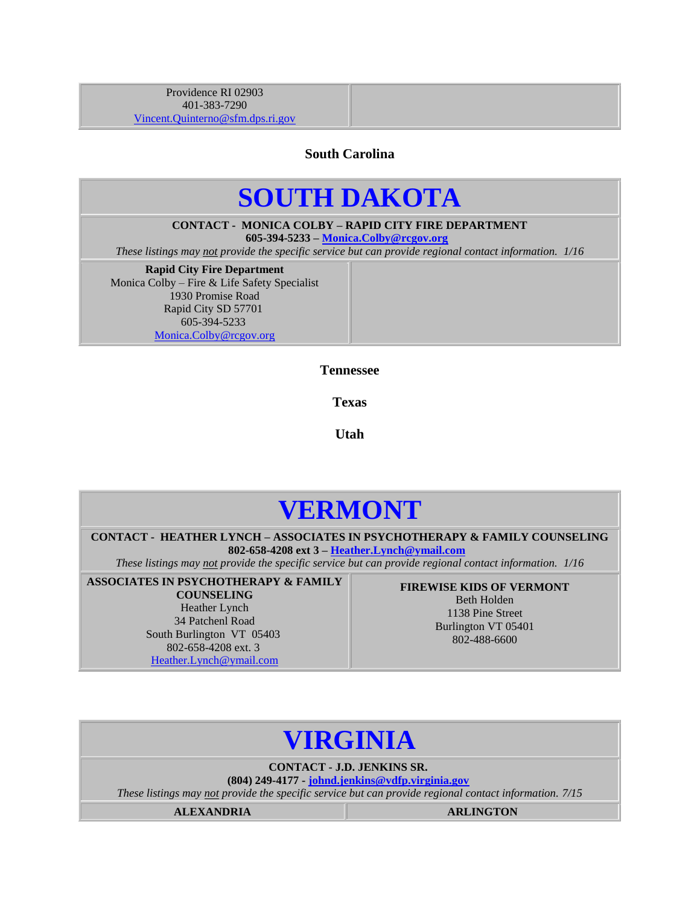<span id="page-16-0"></span>Providence RI 02903 401-383-7290 [Vincent.Quinterno@sfm.dps.ri.gov](mailto:Vincent.Quinterno@sfm.dps.ri.gov)

**South Carolina**

## **SOUTH DAKOTA**

**CONTACT - MONICA COLBY – RAPID CITY FIRE DEPARTMENT 605-394-5233 – [Monica.Colby@rcgov.org](mailto:Monica.Colby@rcgov.org)**

*These listings may not provide the specific service but can provide regional contact information. 1/16*

**Rapid City Fire Department** Monica Colby – Fire & Life Safety Specialist 1930 Promise Road Rapid City SD 57701 605-394-5233 [Monica.Colby@rcgov.org](mailto:DJackson@HHS.ORG)

**Tennessee**

**Texas**

**Utah**

## **VERMONT**

<span id="page-16-1"></span>**CONTACT - HEATHER LYNCH – ASSOCIATES IN PSYCHOTHERAPY & FAMILY COUNSELING 802-658-4208 ext 3 – [Heather.Lynch@ymail.com](mailto:Heather.Lynch@ymail.com)**

*These listings may not provide the specific service but can provide regional contact information. 1/16*

**ASSOCIATES IN PSYCHOTHERAPY & FAMILY COUNSELING** Heather Lynch 34 Patchenl Road South Burlington VT 05403 802-658-4208 ext. 3 [Heather.Lynch@ymail.com](mailto:DJackson@HHS.ORG)

**FIREWISE KIDS OF VERMONT** Beth Holden 1138 Pine Street Burlington VT 05401 802-488-6600

## **VIRGINIA**

**CONTACT - J.D. JENKINS SR.**

**(804) 249-4177 - [johnd.jenkins@vdfp.virginia.gov](mailto:johnd.jenkins@vdfp.virginia.gov)** *These listings may not provide the specific service but can provide regional contact information. 7/15*

**ALEXANDRIA ARLINGTON**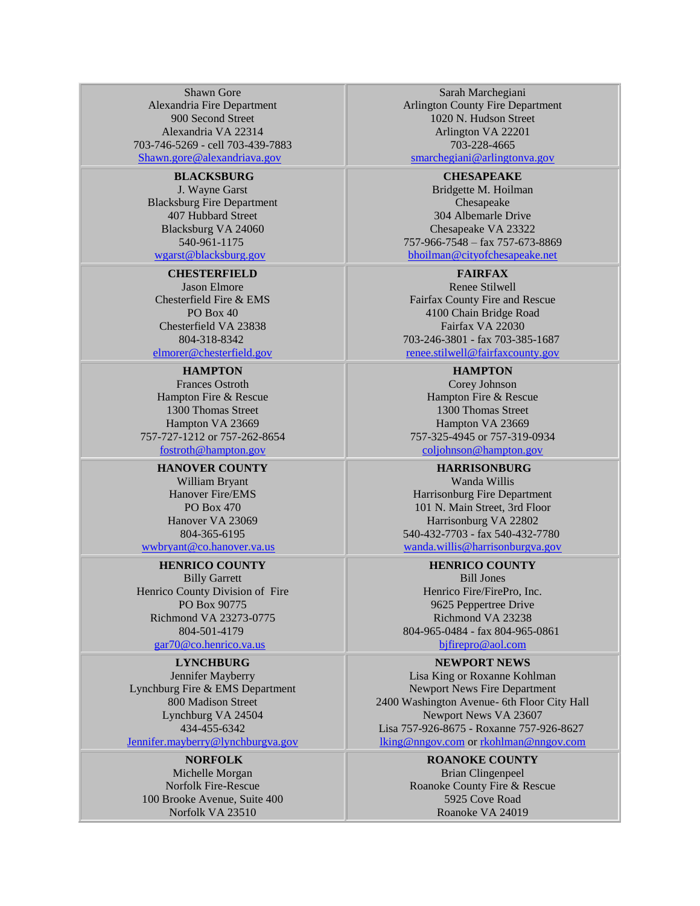Shawn Gore Alexandria Fire Department 900 Second Street Alexandria VA 22314 703-746-5269 - cell 703-439-7883 [Shawn.gore@alexandriava.gov](mailto:Shawn.gore@alexandriava.gov)

#### **BLACKSBURG**

J. Wayne Garst Blacksburg Fire Department 407 Hubbard Street Blacksburg VA 24060 540-961-117[5](mailto:wgarst@blacksburg.org) [wgarst@blacksburg.gov](mailto:wgarst@blacksburg.org)

**CHESTERFIELD**

Jason Elmore Chesterfield Fire & EMS PO Box 40 Chesterfield VA 23838 804-318-834[2](mailto:bhoilman@fire.city.chesapeake.va.us) [elmorer@chesterfield.gov](mailto:bhoilman@fire.city.chesapeake.va.us)

### **HAMPTON**

Frances Ostroth Hampton Fire & Rescue 1300 Thomas Street Hampton VA 23669 757-727-1212 or 757-262-8654 [fostroth@hampton.gov](mailto:fostroth@hampton.gov)

### **HANOVER COUNTY**

William Bryant Hanover Fire/EMS PO Box 470 Hanover VA 23069 804-365-6195 [wwbryant@co.hanover.va.us](mailto:wwbryant@co.hanover.va.us)

**HENRICO COUNTY** Billy Garrett Henrico County Division of Fire PO Box 90775 Richmond VA 23273-0775 804-501-4179 [gar70@co.henrico.va.us](mailto:gar70@co.henrico.va.us)

#### **LYNCHBURG**

Jennifer Mayberry Lynchburg Fire & EMS Department 800 Madison Street Lynchburg VA 24504 434-455-634[2](mailto:jeannie.obrien@lynchburgva.gov) [Jennifer.mayberry@lynchburgva.gov](mailto:jeannie.obrien@lynchburgva.gov)

**NORFOLK**

Michelle Morgan Norfolk Fire-Rescue 100 Brooke Avenue, Suite 400 Norfolk VA 23510

Sarah Marchegiani Arlington County Fire Department 1020 N. Hudson Street Arlington VA 22201 703-228-4665

<smarchegiani@arlingtonva.gov>

**CHESAPEAKE** Bridgette M. Hoilman Chesapeake 304 Albemarle Drive Chesapeake VA 23322 757-966-7548 – fax 757-673-8869 [bhoilman@cityofchesapeake.net](mailto:bhoilman@cityofchesapeake.net)

**FAIRFAX**

Renee Stilwell Fairfax County Fire and Rescue 4100 Chain Bridge Road Fairfax VA 22030 703-246-3801 - fax 703-385-1687 [renee.stilwell@fairfaxcounty.gov](mailto:%0Brenee.stilwell@fairfaxcounty.gov)

**HAMPTON** Corey Johnson Hampton Fire & Rescue 1300 Thomas Street Hampton VA 23669 757-325-4945 or 757-319-0934 [coljohnson@hampton.gov](mailto:coljohnson@hampton.gov)

**HARRISONBURG** Wanda Willis Harrisonburg Fire Department 101 N. Main Street, 3rd Floor Harrisonburg VA 22802 540-432-7703 - fax 540-432-7780 [wanda.willis@harrisonburgva.gov](mailto:wanda.willis@harrisonburgva.gov)

**HENRICO COUNTY** Bill Jones Henrico Fire/FirePro, Inc. 9625 Peppertree Drive Richmond VA 23238 804-965-0484 - fax 804-965-0861 [bjfirepro@aol.com](mailto:bjfirepro@aol.com)

**NEWPORT NEWS** Lisa King or Roxanne Kohlman Newport News Fire Department 2400 Washington Avenue- 6th Floor City Hall Newport News VA 23607 Lisa 757-926-8675 - Roxanne 757-926-8627 [lking@nngov.com](mailto:lking@nngov.com) or [rkohlman@nngov.com](mailto:rkohlman@nngov.com)

#### **ROANOKE COUNTY**

Brian Clingenpeel Roanoke County Fire & Rescue 5925 Cove Road Roanoke VA 24019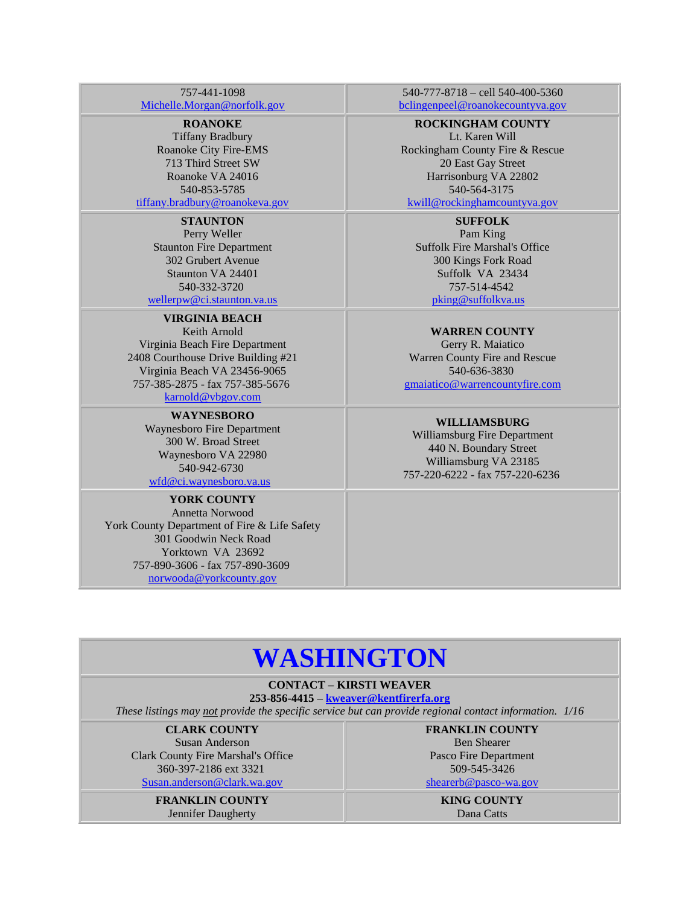#### 757-441-1098 [Michelle.Morgan@norfolk.gov](Michelle.Morgan@norfolk.gov%20)

#### **ROANOKE**

Tiffany Bradbury Roanoke City Fire-EMS 713 Third Street SW Roanoke VA 24016 540-853-5785

[tiffany.bradbury@roanokeva.gov](mailto:tiffany.bradbury@roanokeva.gov)

## **STAUNTON**

Perry Weller Staunton Fire Department 302 Grubert Avenue Staunton VA 24401 540-332-372[0](mailto:wellerpw@ci.staunton.va.us) [wellerpw@ci.staunton.va.us](mailto:wellerpw@ci.staunton.va.us)

#### **VIRGINIA BEACH** Keith Arnold Virginia Beach Fire Department 2408 Courthouse Drive Building #21 Virginia Beach VA 23456-9065 757-385-2875 - fax 757-385-5676

[karnold@vbgov.com](mailto:karnold@vbgov.com)

**WAYNESBORO** Waynesboro Fire Department 300 W. Broad Street Waynesboro VA 22980 540-942-6730

[wfd@ci.waynesboro.va.us](mailto:wfd@ci.waynesboro.va.us) 

#### **YORK COUNTY** Annetta Norwood York County Department of Fire & Life Safety 301 Goodwin Neck Road Yorktown VA 23692 757-890-3606 - fax 757-890-3609 [norwooda@yorkcounty.gov](mailto:norwooda@yorkcounty.gov)

540-777-8718 – cell 540-400-5360 [bclingenpeel@roanokecountyva.gov](mailto:bclingenpeel@roanokecountyva.gov)

#### **ROCKINGHAM COUNTY**

Lt. Karen Will Rockingham County Fire & Rescue 20 East Gay Street Harrisonburg VA 22802 540-564-3175 [kwill@rockinghamcountyva.gov](mailto:kwill@rockinghamcountyva.gov)

### **SUFFOLK**

Pam King Suffolk Fire Marshal's Office 300 Kings Fork Road Suffolk VA 23434 757-514-4542 [pking@suffolkva.us](mailto:pking@suffolkva.us) 

**WARREN COUNTY** Gerry R. Maiatico Warren County Fire and Rescue 540-636-3830 [gmaiatico@warrencountyfire.com](mailto:gmaiatico@warrencountyfire.com)

#### **WILLIAMSBURG**

Williamsburg Fire Department 440 N. Boundary Street Williamsburg VA 23185 757-220-6222 - fax 757-220-6236

## **WASHINGTON**

### **CONTACT – KIRSTI WEAVER**

**253-856-4415 – [kweaver@kentfirerfa.org](mailto:kweaver@kentfirerfa.org)**

*These listings may not provide the specific service but can provide regional contact information. 1/16*

**CLARK COUNTY** Susan Anderson Clark County Fire Marshal's Office 360-397-2186 ext 3321 [Susan.anderson@clark.wa.gov](mailto:Susan.anderson@clark.wa.gov)

> **FRANKLIN COUNTY** Jennifer Daugherty

**FRANKLIN COUNTY** Ben Shearer Pasco Fire Department 509-545-3426 [shearerb@pasco-wa.gov](mailto:shearerb@pasco-wa.gov)

**KING COUNTY** Dana Catts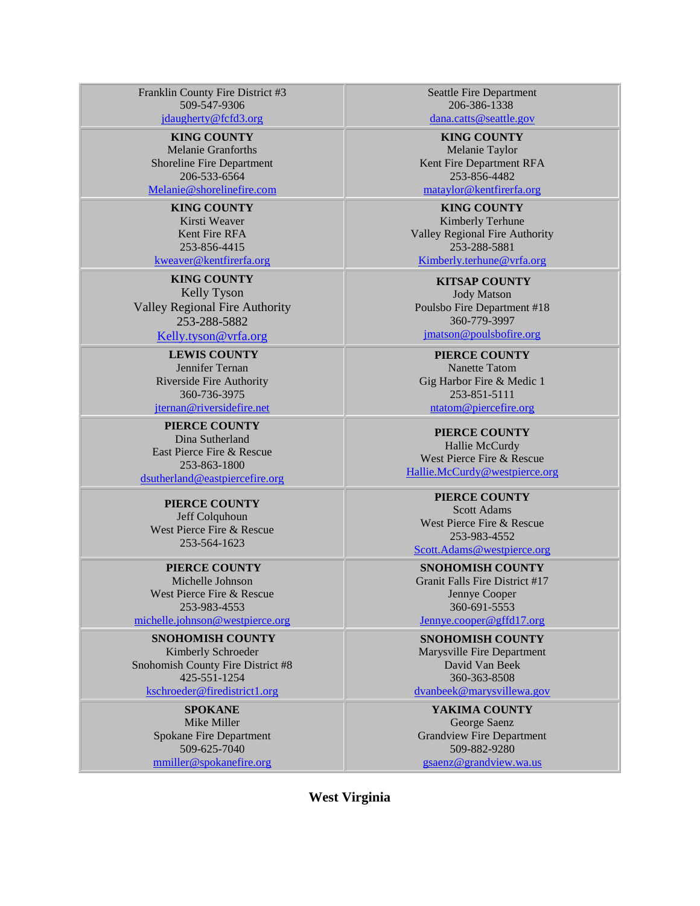Franklin County Fire District #3 509-547-9306 [jdaugherty@fcfd3.org](mailto:jdaugherty@fcfd3.org)

**KING COUNTY** Melanie Granforths Shoreline Fire Department 206-533-6564 [Melanie@shorelinefire.com](mailto:Melanie@shorelinefire.com)

**KING COUNTY** Kirsti Weaver Kent Fire RFA 253-856-4415 [kweaver@kentfirerfa.org](mailto:kweaver@kentfirerfa.org)

**KING COUNTY** Kelly Tyson Valley Regional Fire Authority 253-288-5882

#### [Kelly.tyson@vrfa.org](mailto:Kelly.tyson@vrfa.org)

## **LEWIS COUNTY**

Jennifer Ternan Riverside Fire Authority 360-736-3975 [jternan@riversidefire.net](mailto:jternan@riversidefire.net)

**PIERCE COUNTY** Dina Sutherland East Pierce Fire & Rescue 253-863-1800 [dsutherland@eastpiercefire.org](mailto:dsutherland@eastpiercefire.org)

**PIERCE COUNTY** Jeff Colquhoun West Pierce Fire & Rescue 253-564-1623

**PIERCE COUNTY** Michelle Johnson

West Pierce Fire & Rescue 253-983-4553 <michelle.johnson@westpierce.org>

**SNOHOMISH COUNTY** Kimberly Schroeder Snohomish County Fire District #8 425-551-1254 <kschroeder@firedistrict1.org>

> **SPOKANE** Mike Miller Spokane Fire Department 509-625-7040 [mmiller@spokanefire.org](mmiller@spokanefire.org%20)

Seattle Fire Department 206-386-133[8](mailto:lisa.vanhorn@seattle.gov)

[dana.catts@seattle.gov](mailto:lisa.vanhorn@seattle.gov)

**KING COUNTY** Melanie Taylor Kent Fire Department RFA 253-856-4482

[mataylor@kentfirerfa.org](mailto:mataylor@kentfirerfa.org)

**KING COUNTY** Kimberly Terhune Valley Regional Fire Authority 253-288-5881 [Kimberly.terhune@vrfa.org](mailto:Kimberly.terhune@vrfa.org)

**KITSAP COUNTY** Jody Matson Poulsbo Fire Department #18 360-779-3997 [jmatson@poulsbofire.org](mailto:jmatson@poulsbofire.org)

**PIERCE COUNTY** Nanette Tatom Gig Harbor Fire & Medic 1 253-851-5111 [ntatom@piercefire.org](mailto:ntatom@piercefire.org)

**PIERCE COUNTY** Hallie McCurdy West Pierce Fire & Rescue [Hallie.McCurdy@westpierce.org](mailto:Hallie.McCurdy@westpierce.org)

**PIERCE COUNTY** Scott Adams West Pierce Fire & Rescue 253-983-4552 [Scott.Adams@westpierce.org](Scott.Adams@westpierce.org%20)

**SNOHOMISH COUNTY** Granit Falls Fire District #17 Jennye Cooper 360-691-5553 [Jennye.cooper@gffd17.org](Jennye.cooper@gffd17.org%20)

**SNOHOMISH COUNTY** Marysville Fire Department David Van Beek 360-363-8508 <dvanbeek@marysvillewa.gov>

**YAKIMA COUNTY** George Saenz Grandview Fire Department 509-882-9280 [gsaenz@grandview.wa.us](gsaenz@grandview.wa.us%20)

**West Virginia**